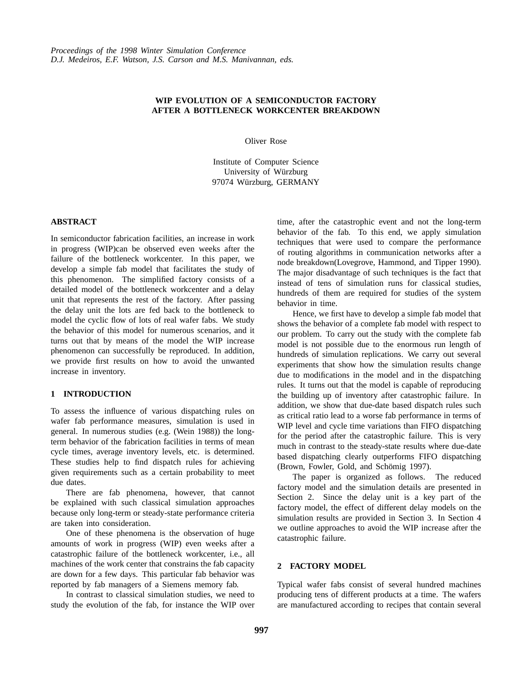# **WIP EVOLUTION OF A SEMICONDUCTOR FACTORY AFTER A BOTTLENECK WORKCENTER BREAKDOWN**

Oliver Rose

Institute of Computer Science University of Würzburg 97074 Würzburg, GERMANY

# **ABSTRACT**

In semiconductor fabrication facilities, an increase in work in progress (WIP)can be observed even weeks after the failure of the bottleneck workcenter. In this paper, we develop a simple fab model that facilitates the study of this phenomenon. The simplified factory consists of a detailed model of the bottleneck workcenter and a delay unit that represents the rest of the factory. After passing the delay unit the lots are fed back to the bottleneck to model the cyclic flow of lots of real wafer fabs. We study the behavior of this model for numerous scenarios, and it turns out that by means of the model the WIP increase phenomenon can successfully be reproduced. In addition, we provide first results on how to avoid the unwanted increase in inventory.

# **1 INTRODUCTION**

To assess the influence of various dispatching rules on wafer fab performance measures, simulation is used in general. In numerous studies (e.g. (Wein 1988)) the longterm behavior of the fabrication facilities in terms of mean cycle times, average inventory levels, etc. is determined. These studies help to find dispatch rules for achieving given requirements such as a certain probability to meet due dates.

There are fab phenomena, however, that cannot be explained with such classical simulation approaches because only long-term or steady-state performance criteria are taken into consideration.

One of these phenomena is the observation of huge amounts of work in progress (WIP) even weeks after a catastrophic failure of the bottleneck workcenter, i.e., all machines of the work center that constrains the fab capacity are down for a few days. This particular fab behavior was reported by fab managers of a Siemens memory fab.

In contrast to classical simulation studies, we need to study the evolution of the fab, for instance the WIP over

time, after the catastrophic event and not the long-term behavior of the fab. To this end, we apply simulation techniques that were used to compare the performance of routing algorithms in communication networks after a node breakdown(Lovegrove, Hammond, and Tipper 1990). The major disadvantage of such techniques is the fact that instead of tens of simulation runs for classical studies, hundreds of them are required for studies of the system behavior in time.

Hence, we first have to develop a simple fab model that shows the behavior of a complete fab model with respect to our problem. To carry out the study with the complete fab model is not possible due to the enormous run length of hundreds of simulation replications. We carry out several experiments that show how the simulation results change due to modifications in the model and in the dispatching rules. It turns out that the model is capable of reproducing the building up of inventory after catastrophic failure. In addition, we show that due-date based dispatch rules such as critical ratio lead to a worse fab performance in terms of WIP level and cycle time variations than FIFO dispatching for the period after the catastrophic failure. This is very much in contrast to the steady-state results where due-date based dispatching clearly outperforms FIFO dispatching (Brown, Fowler, Gold, and Schömig 1997).

The paper is organized as follows. The reduced factory model and the simulation details are presented in Section 2. Since the delay unit is a key part of the factory model, the effect of different delay models on the simulation results are provided in Section 3. In Section 4 we outline approaches to avoid the WIP increase after the catastrophic failure.

# **2 FACTORY MODEL**

Typical wafer fabs consist of several hundred machines producing tens of different products at a time. The wafers are manufactured according to recipes that contain several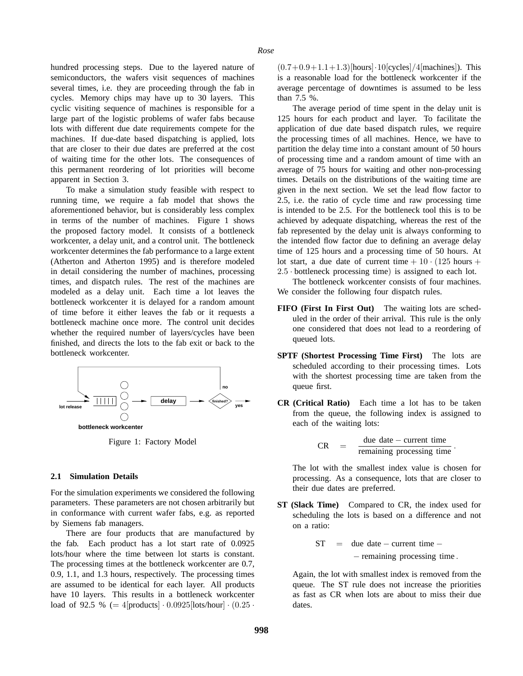hundred processing steps. Due to the layered nature of semiconductors, the wafers visit sequences of machines several times, i.e. they are proceeding through the fab in cycles. Memory chips may have up to 30 layers. This cyclic visiting sequence of machines is responsible for a large part of the logistic problems of wafer fabs because lots with different due date requirements compete for the machines. If due-date based dispatching is applied, lots that are closer to their due dates are preferred at the cost of waiting time for the other lots. The consequences of this permanent reordering of lot priorities will become apparent in Section 3.

To make a simulation study feasible with respect to running time, we require a fab model that shows the aforementioned behavior, but is considerably less complex in terms of the number of machines. Figure 1 shows the proposed factory model. It consists of a bottleneck workcenter, a delay unit, and a control unit. The bottleneck workcenter determines the fab performance to a large extent (Atherton and Atherton 1995) and is therefore modeled in detail considering the number of machines, processing times, and dispatch rules. The rest of the machines are modeled as a delay unit. Each time a lot leaves the bottleneck workcenter it is delayed for a random amount of time before it either leaves the fab or it requests a bottleneck machine once more. The control unit decides whether the required number of layers/cycles have been finished, and directs the lots to the fab exit or back to the bottleneck workcenter.



Figure 1: Factory Model

# **2.1 Simulation Details**

For the simulation experiments we considered the following parameters. These parameters are not chosen arbitrarily but in conformance with current wafer fabs, e.g. as reported by Siemens fab managers.

There are four products that are manufactured by the fab. Each product has a lot start rate of 0.0925 lots/hour where the time between lot starts is constant. The processing times at the bottleneck workcenter are 0.7, 0.9, 1.1, and 1.3 hours, respectively. The processing times are assumed to be identical for each layer. All products have 10 layers. This results in a bottleneck workcenter load of 92.5 % (= 4[products]  $\cdot$  0.0925[lots/hour]  $\cdot$  (0.25  $\cdot$ 

 $(0.7+0.9+1.1+1.3)$ [hours] $\cdot 10$ [cycles]/4[machines]). This is a reasonable load for the bottleneck workcenter if the average percentage of downtimes is assumed to be less than 7.5 %.

The average period of time spent in the delay unit is 125 hours for each product and layer. To facilitate the application of due date based dispatch rules, we require the processing times of all machines. Hence, we have to partition the delay time into a constant amount of 50 hours of processing time and a random amount of time with an average of 75 hours for waiting and other non-processing times. Details on the distributions of the waiting time are given in the next section. We set the lead flow factor to 2.5, i.e. the ratio of cycle time and raw processing time is intended to be 2.5. For the bottleneck tool this is to be achieved by adequate dispatching, whereas the rest of the fab represented by the delay unit is always conforming to the intended flow factor due to defining an average delay time of 125 hours and a processing time of 50 hours. At lot start, a due date of current time  $+ 10 \cdot (125 \text{ hours} +$ 2.5 · bottleneck processing time) is assigned to each lot.

The bottleneck workcenter consists of four machines. We consider the following four dispatch rules.

- **FIFO (First In First Out)** The waiting lots are scheduled in the order of their arrival. This rule is the only one considered that does not lead to a reordering of queued lots.
- **SPTF (Shortest Processing Time First)** The lots are scheduled according to their processing times. Lots with the shortest processing time are taken from the queue first.
- **CR (Critical Ratio)** Each time a lot has to be taken from the queue, the following index is assigned to each of the waiting lots:

$$
CR = \frac{\text{due date} - \text{current time}}{\text{remaining processing time}}.
$$

The lot with the smallest index value is chosen for processing. As a consequence, lots that are closer to their due dates are preferred.

**ST (Slack Time)** Compared to CR, the index used for scheduling the lots is based on a difference and not on a ratio:

$$
ST = due date - current time - - remaining processing time
$$

− remaining processing time .

Again, the lot with smallest index is removed from the queue. The ST rule does not increase the priorities as fast as CR when lots are about to miss their due dates.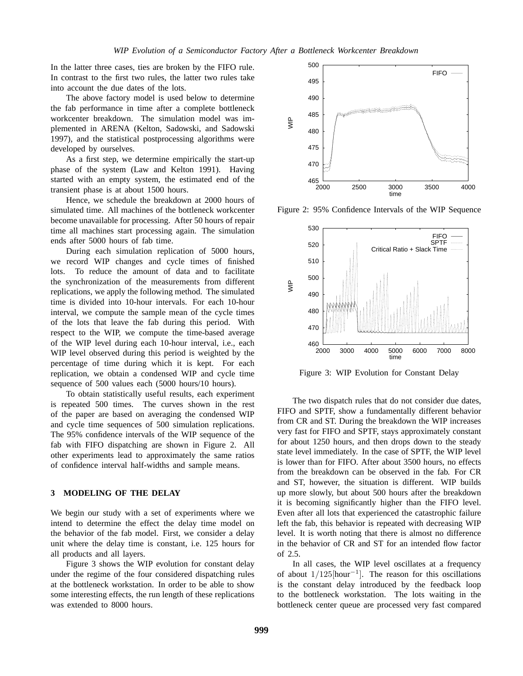In the latter three cases, ties are broken by the FIFO rule. In contrast to the first two rules, the latter two rules take into account the due dates of the lots.

The above factory model is used below to determine the fab performance in time after a complete bottleneck workcenter breakdown. The simulation model was implemented in ARENA (Kelton, Sadowski, and Sadowski 1997), and the statistical postprocessing algorithms were developed by ourselves.

As a first step, we determine empirically the start-up phase of the system (Law and Kelton 1991). Having started with an empty system, the estimated end of the transient phase is at about 1500 hours.

Hence, we schedule the breakdown at 2000 hours of simulated time. All machines of the bottleneck workcenter become unavailable for processing. After 50 hours of repair time all machines start processing again. The simulation ends after 5000 hours of fab time.

During each simulation replication of 5000 hours, we record WIP changes and cycle times of finished lots. To reduce the amount of data and to facilitate the synchronization of the measurements from different replications, we apply the following method. The simulated time is divided into 10-hour intervals. For each 10-hour interval, we compute the sample mean of the cycle times of the lots that leave the fab during this period. With respect to the WIP, we compute the time-based average of the WIP level during each 10-hour interval, i.e., each WIP level observed during this period is weighted by the percentage of time during which it is kept. For each replication, we obtain a condensed WIP and cycle time sequence of 500 values each (5000 hours/10 hours).

To obtain statistically useful results, each experiment is repeated 500 times. The curves shown in the rest of the paper are based on averaging the condensed WIP and cycle time sequences of 500 simulation replications. The 95% confidence intervals of the WIP sequence of the fab with FIFO dispatching are shown in Figure 2. All other experiments lead to approximately the same ratios of confidence interval half-widths and sample means.

# **3 MODELING OF THE DELAY**

We begin our study with a set of experiments where we intend to determine the effect the delay time model on the behavior of the fab model. First, we consider a delay unit where the delay time is constant, i.e. 125 hours for all products and all layers.

Figure 3 shows the WIP evolution for constant delay under the regime of the four considered dispatching rules at the bottleneck workstation. In order to be able to show some interesting effects, the run length of these replications was extended to 8000 hours.



Figure 2: 95% Confidence Intervals of the WIP Sequence



Figure 3: WIP Evolution for Constant Delay

The two dispatch rules that do not consider due dates, FIFO and SPTF, show a fundamentally different behavior from CR and ST. During the breakdown the WIP increases very fast for FIFO and SPTF, stays approximately constant for about 1250 hours, and then drops down to the steady state level immediately. In the case of SPTF, the WIP level is lower than for FIFO. After about 3500 hours, no effects from the breakdown can be observed in the fab. For CR and ST, however, the situation is different. WIP builds up more slowly, but about 500 hours after the breakdown it is becoming significantly higher than the FIFO level. Even after all lots that experienced the catastrophic failure left the fab, this behavior is repeated with decreasing WIP level. It is worth noting that there is almost no difference in the behavior of CR and ST for an intended flow factor of 2.5.

In all cases, the WIP level oscillates at a frequency of about  $1/125$ [hour<sup>-1</sup>]. The reason for this oscillations is the constant delay introduced by the feedback loop to the bottleneck workstation. The lots waiting in the bottleneck center queue are processed very fast compared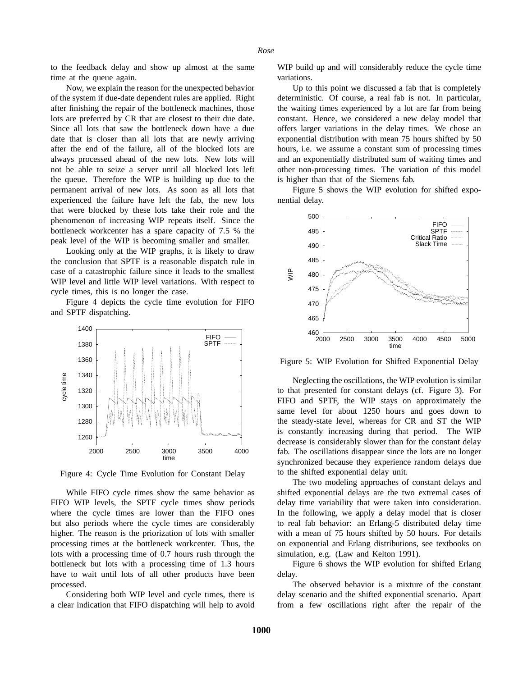to the feedback delay and show up almost at the same time at the queue again.

Now, we explain the reason for the unexpected behavior of the system if due-date dependent rules are applied. Right after finishing the repair of the bottleneck machines, those lots are preferred by CR that are closest to their due date. Since all lots that saw the bottleneck down have a due date that is closer than all lots that are newly arriving after the end of the failure, all of the blocked lots are always processed ahead of the new lots. New lots will not be able to seize a server until all blocked lots left the queue. Therefore the WIP is building up due to the permanent arrival of new lots. As soon as all lots that experienced the failure have left the fab, the new lots that were blocked by these lots take their role and the phenomenon of increasing WIP repeats itself. Since the bottleneck workcenter has a spare capacity of 7.5 % the peak level of the WIP is becoming smaller and smaller.

Looking only at the WIP graphs, it is likely to draw the conclusion that SPTF is a reasonable dispatch rule in case of a catastrophic failure since it leads to the smallest WIP level and little WIP level variations. With respect to cycle times, this is no longer the case.

Figure 4 depicts the cycle time evolution for FIFO and SPTF dispatching.



Figure 4: Cycle Time Evolution for Constant Delay

While FIFO cycle times show the same behavior as FIFO WIP levels, the SPTF cycle times show periods where the cycle times are lower than the FIFO ones but also periods where the cycle times are considerably higher. The reason is the priorization of lots with smaller processing times at the bottleneck workcenter. Thus, the lots with a processing time of 0.7 hours rush through the bottleneck but lots with a processing time of 1.3 hours have to wait until lots of all other products have been processed.

Considering both WIP level and cycle times, there is a clear indication that FIFO dispatching will help to avoid WIP build up and will considerably reduce the cycle time variations.

Up to this point we discussed a fab that is completely deterministic. Of course, a real fab is not. In particular, the waiting times experienced by a lot are far from being constant. Hence, we considered a new delay model that offers larger variations in the delay times. We chose an exponential distribution with mean 75 hours shifted by 50 hours, i.e. we assume a constant sum of processing times and an exponentially distributed sum of waiting times and other non-processing times. The variation of this model is higher than that of the Siemens fab.

Figure 5 shows the WIP evolution for shifted exponential delay.



Figure 5: WIP Evolution for Shifted Exponential Delay

Neglecting the oscillations, the WIP evolution is similar to that presented for constant delays (cf. Figure 3). For FIFO and SPTF, the WIP stays on approximately the same level for about 1250 hours and goes down to the steady-state level, whereas for CR and ST the WIP is constantly increasing during that period. The WIP decrease is considerably slower than for the constant delay fab. The oscillations disappear since the lots are no longer synchronized because they experience random delays due to the shifted exponential delay unit.

The two modeling approaches of constant delays and shifted exponential delays are the two extremal cases of delay time variability that were taken into consideration. In the following, we apply a delay model that is closer to real fab behavior: an Erlang-5 distributed delay time with a mean of 75 hours shifted by 50 hours. For details on exponential and Erlang distributions, see textbooks on simulation, e.g. (Law and Kelton 1991).

Figure 6 shows the WIP evolution for shifted Erlang delay.

The observed behavior is a mixture of the constant delay scenario and the shifted exponential scenario. Apart from a few oscillations right after the repair of the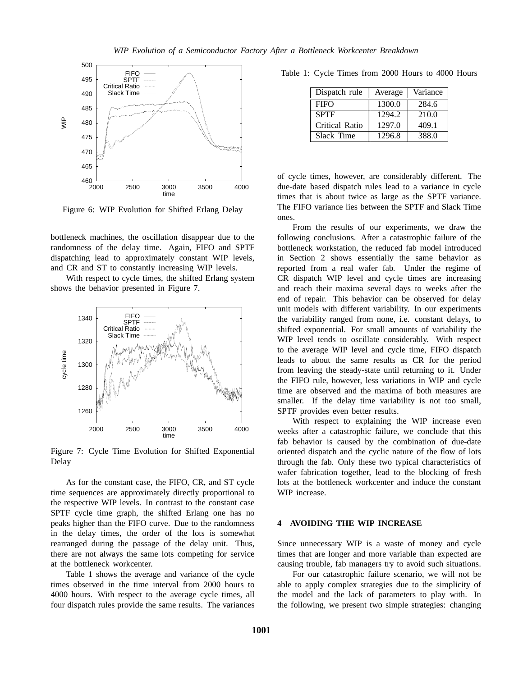

Figure 6: WIP Evolution for Shifted Erlang Delay

bottleneck machines, the oscillation disappear due to the randomness of the delay time. Again, FIFO and SPTF dispatching lead to approximately constant WIP levels, and CR and ST to constantly increasing WIP levels.

With respect to cycle times, the shifted Erlang system shows the behavior presented in Figure 7.



Figure 7: Cycle Time Evolution for Shifted Exponential Delay

As for the constant case, the FIFO, CR, and ST cycle time sequences are approximately directly proportional to the respective WIP levels. In contrast to the constant case SPTF cycle time graph, the shifted Erlang one has no peaks higher than the FIFO curve. Due to the randomness in the delay times, the order of the lots is somewhat rearranged during the passage of the delay unit. Thus, there are not always the same lots competing for service at the bottleneck workcenter.

Table 1 shows the average and variance of the cycle times observed in the time interval from 2000 hours to 4000 hours. With respect to the average cycle times, all four dispatch rules provide the same results. The variances

Table 1: Cycle Times from 2000 Hours to 4000 Hours

| Dispatch rule  | Average | Variance |
|----------------|---------|----------|
| <b>FIFO</b>    | 1300.0  | 284.6    |
| <b>SPTF</b>    | 1294.2  | 210.0    |
| Critical Ratio | 1297.0  | 409.1    |
| Slack Time     | 1296.8  | 388.0    |

of cycle times, however, are considerably different. The due-date based dispatch rules lead to a variance in cycle times that is about twice as large as the SPTF variance. The FIFO variance lies between the SPTF and Slack Time ones.

From the results of our experiments, we draw the following conclusions. After a catastrophic failure of the bottleneck workstation, the reduced fab model introduced in Section 2 shows essentially the same behavior as reported from a real wafer fab. Under the regime of CR dispatch WIP level and cycle times are increasing and reach their maxima several days to weeks after the end of repair. This behavior can be observed for delay unit models with different variability. In our experiments the variability ranged from none, i.e. constant delays, to shifted exponential. For small amounts of variability the WIP level tends to oscillate considerably. With respect to the average WIP level and cycle time, FIFO dispatch leads to about the same results as CR for the period from leaving the steady-state until returning to it. Under the FIFO rule, however, less variations in WIP and cycle time are observed and the maxima of both measures are smaller. If the delay time variability is not too small, SPTF provides even better results.

With respect to explaining the WIP increase even weeks after a catastrophic failure, we conclude that this fab behavior is caused by the combination of due-date oriented dispatch and the cyclic nature of the flow of lots through the fab. Only these two typical characteristics of wafer fabrication together, lead to the blocking of fresh lots at the bottleneck workcenter and induce the constant WIP increase.

# **4 AVOIDING THE WIP INCREASE**

Since unnecessary WIP is a waste of money and cycle times that are longer and more variable than expected are causing trouble, fab managers try to avoid such situations.

For our catastrophic failure scenario, we will not be able to apply complex strategies due to the simplicity of the model and the lack of parameters to play with. In the following, we present two simple strategies: changing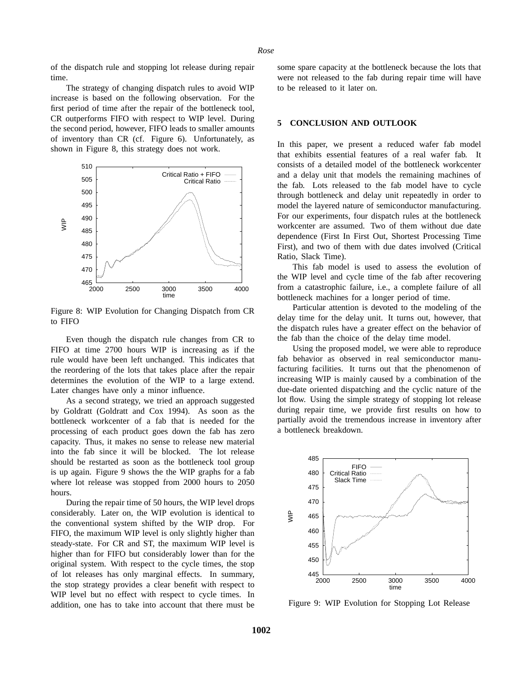of the dispatch rule and stopping lot release during repair time.

The strategy of changing dispatch rules to avoid WIP increase is based on the following observation. For the first period of time after the repair of the bottleneck tool, CR outperforms FIFO with respect to WIP level. During the second period, however, FIFO leads to smaller amounts of inventory than CR (cf. Figure 6). Unfortunately, as shown in Figure 8, this strategy does not work.



Figure 8: WIP Evolution for Changing Dispatch from CR to FIFO

Even though the dispatch rule changes from CR to FIFO at time 2700 hours WIP is increasing as if the rule would have been left unchanged. This indicates that the reordering of the lots that takes place after the repair determines the evolution of the WIP to a large extend. Later changes have only a minor influence.

As a second strategy, we tried an approach suggested by Goldratt (Goldratt and Cox 1994). As soon as the bottleneck workcenter of a fab that is needed for the processing of each product goes down the fab has zero capacity. Thus, it makes no sense to release new material into the fab since it will be blocked. The lot release should be restarted as soon as the bottleneck tool group is up again. Figure 9 shows the the WIP graphs for a fab where lot release was stopped from 2000 hours to 2050 hours.

During the repair time of 50 hours, the WIP level drops considerably. Later on, the WIP evolution is identical to the conventional system shifted by the WIP drop. For FIFO, the maximum WIP level is only slightly higher than steady-state. For CR and ST, the maximum WIP level is higher than for FIFO but considerably lower than for the original system. With respect to the cycle times, the stop of lot releases has only marginal effects. In summary, the stop strategy provides a clear benefit with respect to WIP level but no effect with respect to cycle times. In addition, one has to take into account that there must be

some spare capacity at the bottleneck because the lots that were not released to the fab during repair time will have to be released to it later on.

# **5 CONCLUSION AND OUTLOOK**

In this paper, we present a reduced wafer fab model that exhibits essential features of a real wafer fab. It consists of a detailed model of the bottleneck workcenter and a delay unit that models the remaining machines of the fab. Lots released to the fab model have to cycle through bottleneck and delay unit repeatedly in order to model the layered nature of semiconductor manufacturing. For our experiments, four dispatch rules at the bottleneck workcenter are assumed. Two of them without due date dependence (First In First Out, Shortest Processing Time First), and two of them with due dates involved (Critical Ratio, Slack Time).

This fab model is used to assess the evolution of the WIP level and cycle time of the fab after recovering from a catastrophic failure, i.e., a complete failure of all bottleneck machines for a longer period of time.

Particular attention is devoted to the modeling of the delay time for the delay unit. It turns out, however, that the dispatch rules have a greater effect on the behavior of the fab than the choice of the delay time model.

Using the proposed model, we were able to reproduce fab behavior as observed in real semiconductor manufacturing facilities. It turns out that the phenomenon of increasing WIP is mainly caused by a combination of the due-date oriented dispatching and the cyclic nature of the lot flow. Using the simple strategy of stopping lot release during repair time, we provide first results on how to partially avoid the tremendous increase in inventory after a bottleneck breakdown.



Figure 9: WIP Evolution for Stopping Lot Release